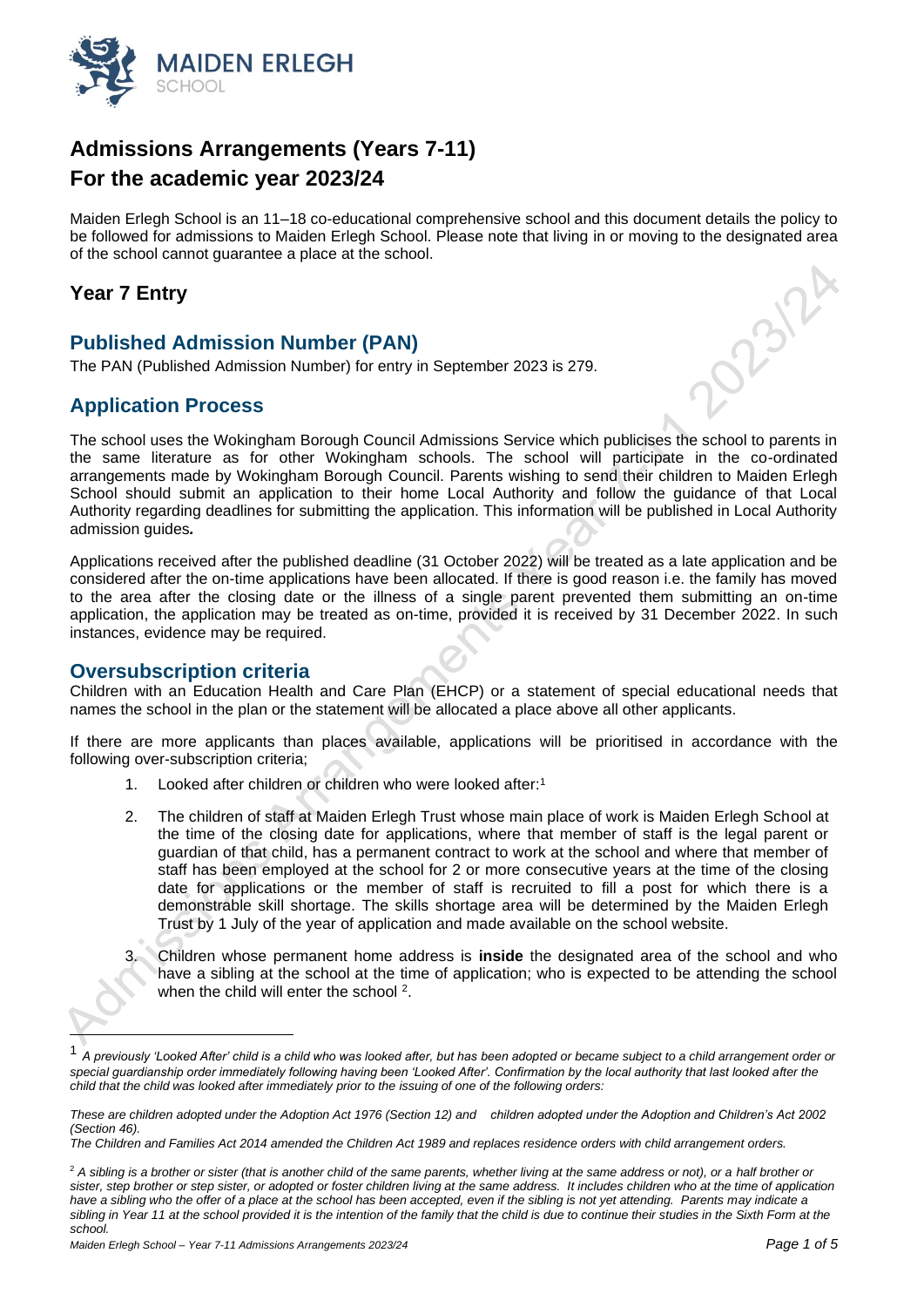

# **Admissions Arrangements (Years 7-11) For the academic year 2023/24**

Maiden Erlegh School is an 11–18 co-educational comprehensive school and this document details the policy to be followed for admissions to Maiden Erlegh School. Please note that living in or moving to the designated area of the school cannot guarantee a place at the school. **023/24** 

## **Year 7 Entry**

## **Published Admission Number (PAN)**

The PAN (Published Admission Number) for entry in September 2023 is 279.

## **Application Process**

The school uses the Wokingham Borough Council Admissions Service which publicises the school to parents in the same literature as for other Wokingham schools. The school will participate in the co-ordinated arrangements made by Wokingham Borough Council. Parents wishing to send their children to Maiden Erlegh School should submit an application to their home Local Authority and follow the guidance of that Local Authority regarding deadlines for submitting the application. This information will be published in Local Authority admission guides*.*

Applications received after the published deadline (31 October 2022) will be treated as a late application and be considered after the on-time applications have been allocated. If there is good reason i.e. the family has moved to the area after the closing date or the illness of a single parent prevented them submitting an on-time application, the application may be treated as on-time, provided it is received by 31 December 2022. In such instances, evidence may be required.

## **Oversubscription criteria**

Children with an Education Health and Care Plan (EHCP) or a statement of special educational needs that names the school in the plan or the statement will be allocated a place above all other applicants.

If there are more applicants than places available, applications will be prioritised in accordance with the following over-subscription criteria;

- 1. Looked after children or children who were looked after:<sup>1</sup>
- 2. The children of staff at Maiden Erlegh Trust whose main place of work is Maiden Erlegh School at the time of the closing date for applications, where that member of staff is the legal parent or guardian of that child, has a permanent contract to work at the school and where that member of staff has been employed at the school for 2 or more consecutive years at the time of the closing date for applications or the member of staff is recruited to fill a post for which there is a demonstrable skill shortage. The skills shortage area will be determined by the Maiden Erlegh Trust by 1 July of the year of application and made available on the school website.
- 3. Children whose permanent home address is **inside** the designated area of the school and who have a sibling at the school at the time of application; who is expected to be attending the school when the child will enter the school <sup>2</sup>.

<sup>1</sup> *A previously 'Looked After' child is a child who was looked after, but has been adopted or became subject to a child arrangement order or*  special guardianship order immediately following having been 'Looked After'. Confirmation by the local authority that last looked after the *child that the child was looked after immediately prior to the issuing of one of the following orders:*

*These are children adopted under the Adoption Act 1976 (Section 12) and children adopted under the Adoption and Children's Act 2002 (Section 46).*

*The Children and Families Act 2014 amended the Children Act 1989 and replaces residence orders with child arrangement orders.*

<sup>&</sup>lt;sup>2</sup> A sibling is a brother or sister (that is another child of the same parents, whether living at the same address or not), or a half brother or sister, step brother or step sister, or adopted or foster children living at the same address. It includes children who at the time of application have a sibling who the offer of a place at the school has been accepted, even if the sibling is not yet attending. Parents may indicate a sibling in Year 11 at the school provided it is the intention of the family that the child is due to continue their studies in the Sixth Form at the *school.*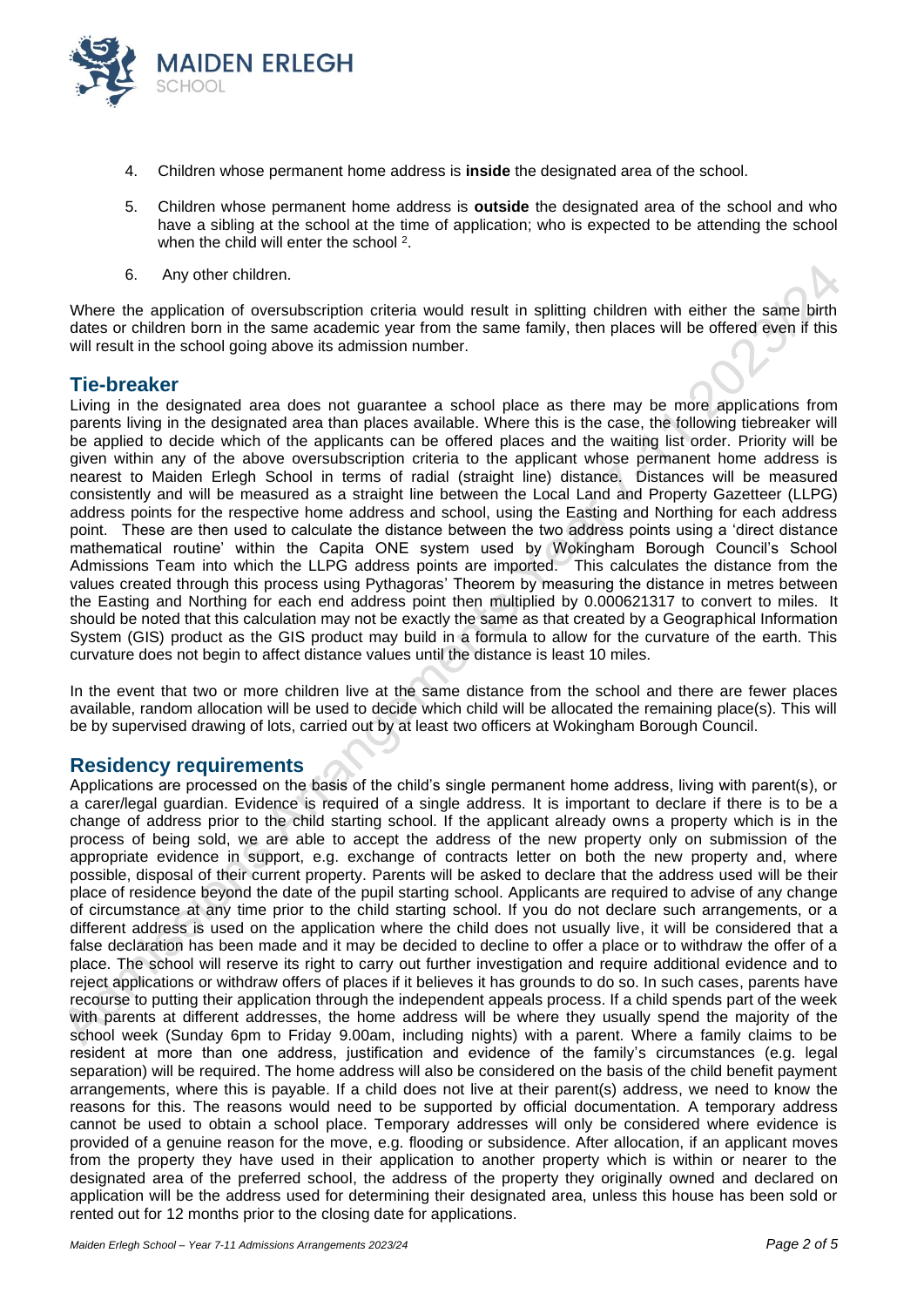

- 4. Children whose permanent home address is **inside** the designated area of the school.
- 5. Children whose permanent home address is **outside** the designated area of the school and who have a sibling at the school at the time of application; who is expected to be attending the school when the child will enter the school<sup>2</sup>.
- 6. Any other children.

Where the application of oversubscription criteria would result in splitting children with either the same birth dates or children born in the same academic year from the same family, then places will be offered even if this will result in the school going above its admission number.

#### **Tie-breaker**

Living in the designated area does not guarantee a school place as there may be more applications from parents living in the designated area than places available. Where this is the case, the following tiebreaker will be applied to decide which of the applicants can be offered places and the waiting list order. Priority will be given within any of the above oversubscription criteria to the applicant whose permanent home address is nearest to Maiden Erlegh School in terms of radial (straight line) distance. Distances will be measured consistently and will be measured as a straight line between the Local Land and Property Gazetteer (LLPG) address points for the respective home address and school, using the Easting and Northing for each address point. These are then used to calculate the distance between the two address points using a 'direct distance mathematical routine' within the Capita ONE system used by Wokingham Borough Council's School Admissions Team into which the LLPG address points are imported. This calculates the distance from the values created through this process using Pythagoras' Theorem by measuring the distance in metres between the Easting and Northing for each end address point then multiplied by 0.000621317 to convert to miles. It should be noted that this calculation may not be exactly the same as that created by a Geographical Information System (GIS) product as the GIS product may build in a formula to allow for the curvature of the earth. This curvature does not begin to affect distance values until the distance is least 10 miles.

In the event that two or more children live at the same distance from the school and there are fewer places available, random allocation will be used to decide which child will be allocated the remaining place(s). This will be by supervised drawing of lots, carried out by at least two officers at Wokingham Borough Council.

#### **Residency requirements**

Applications are processed on the basis of the child's single permanent home address, living with parent(s), or a carer/legal guardian. Evidence is required of a single address. It is important to declare if there is to be a change of address prior to the child starting school. If the applicant already owns a property which is in the process of being sold, we are able to accept the address of the new property only on submission of the appropriate evidence in support, e.g. exchange of contracts letter on both the new property and, where possible, disposal of their current property. Parents will be asked to declare that the address used will be their place of residence beyond the date of the pupil starting school. Applicants are required to advise of any change of circumstance at any time prior to the child starting school. If you do not declare such arrangements, or a different address is used on the application where the child does not usually live, it will be considered that a false declaration has been made and it may be decided to decline to offer a place or to withdraw the offer of a place. The school will reserve its right to carry out further investigation and require additional evidence and to reject applications or withdraw offers of places if it believes it has grounds to do so. In such cases, parents have recourse to putting their application through the independent appeals process. If a child spends part of the week with parents at different addresses, the home address will be where they usually spend the majority of the school week (Sunday 6pm to Friday 9.00am, including nights) with a parent. Where a family claims to be resident at more than one address, justification and evidence of the family's circumstances (e.g. legal separation) will be required. The home address will also be considered on the basis of the child benefit payment arrangements, where this is payable. If a child does not live at their parent(s) address, we need to know the reasons for this. The reasons would need to be supported by official documentation. A temporary address cannot be used to obtain a school place. Temporary addresses will only be considered where evidence is provided of a genuine reason for the move, e.g. flooding or subsidence. After allocation, if an applicant moves from the property they have used in their application to another property which is within or nearer to the designated area of the preferred school, the address of the property they originally owned and declared on application will be the address used for determining their designated area, unless this house has been sold or rented out for 12 months prior to the closing date for applications.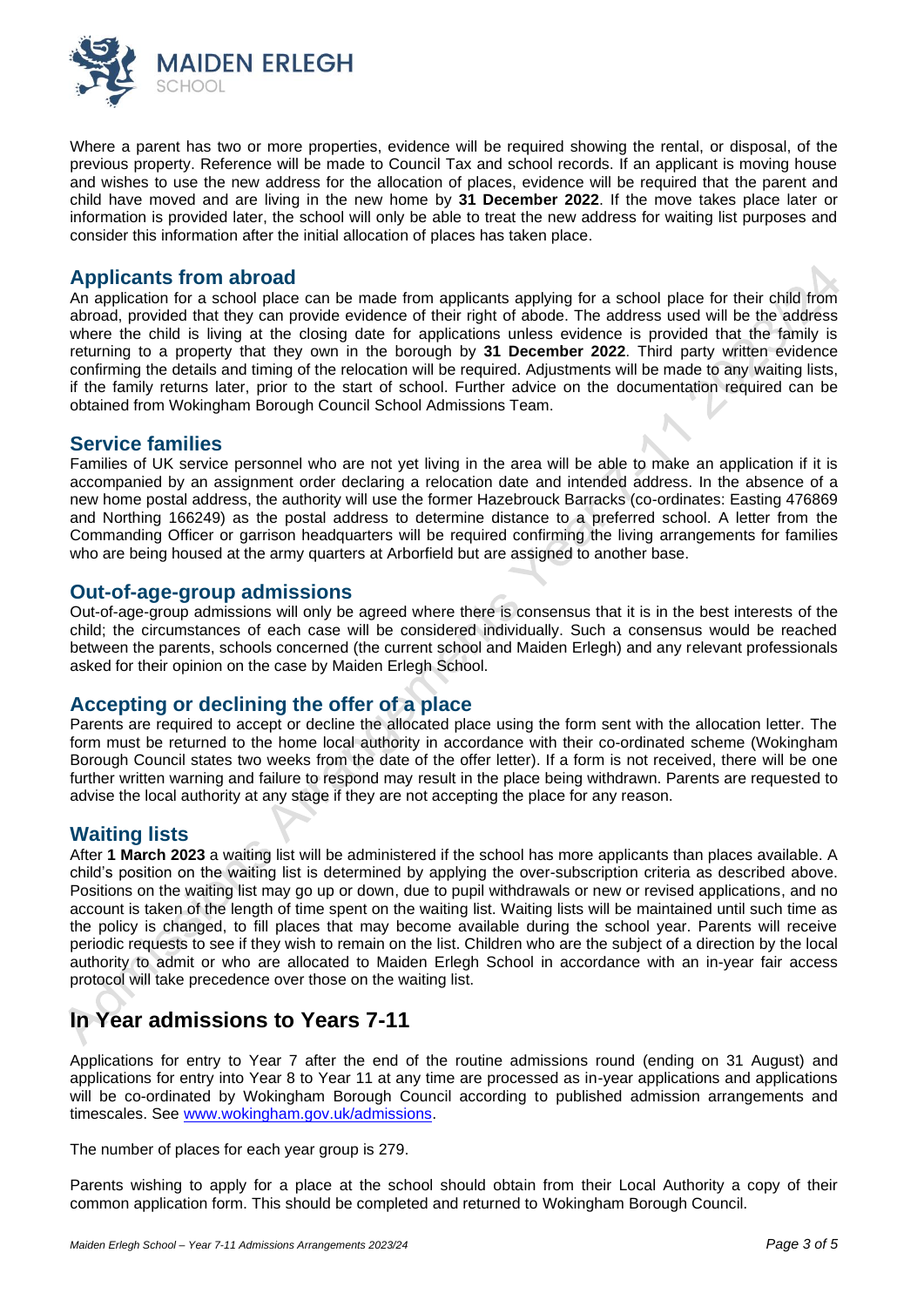

Where a parent has two or more properties, evidence will be required showing the rental, or disposal, of the previous property. Reference will be made to Council Tax and school records. If an applicant is moving house and wishes to use the new address for the allocation of places, evidence will be required that the parent and child have moved and are living in the new home by **31 December 2022**. If the move takes place later or information is provided later, the school will only be able to treat the new address for waiting list purposes and consider this information after the initial allocation of places has taken place.

#### **Applicants from abroad**

An application for a school place can be made from applicants applying for a school place for their child from abroad, provided that they can provide evidence of their right of abode. The address used will be the address where the child is living at the closing date for applications unless evidence is provided that the family is returning to a property that they own in the borough by **31 December 2022**. Third party written evidence confirming the details and timing of the relocation will be required. Adjustments will be made to any waiting lists, if the family returns later, prior to the start of school. Further advice on the documentation required can be obtained from Wokingham Borough Council School Admissions Team.

## **Service families**

Families of UK service personnel who are not yet living in the area will be able to make an application if it is accompanied by an assignment order declaring a relocation date and intended address. In the absence of a new home postal address, the authority will use the former Hazebrouck Barracks (co-ordinates: Easting 476869 and Northing 166249) as the postal address to determine distance to a preferred school. A letter from the Commanding Officer or garrison headquarters will be required confirming the living arrangements for families who are being housed at the army quarters at Arborfield but are assigned to another base.

#### **Out-of-age-group admissions**

Out-of-age-group admissions will only be agreed where there is consensus that it is in the best interests of the child; the circumstances of each case will be considered individually. Such a consensus would be reached between the parents, schools concerned (the current school and Maiden Erlegh) and any relevant professionals asked for their opinion on the case by Maiden Erlegh School.

## **Accepting or declining the offer of a place**

Parents are required to accept or decline the allocated place using the form sent with the allocation letter. The form must be returned to the home local authority in accordance with their co-ordinated scheme (Wokingham Borough Council states two weeks from the date of the offer letter). If a form is not received, there will be one further written warning and failure to respond may result in the place being withdrawn. Parents are requested to advise the local authority at any stage if they are not accepting the place for any reason.

## **Waiting lists**

After **1 March 2023** a waiting list will be administered if the school has more applicants than places available. A child's position on the waiting list is determined by applying the over-subscription criteria as described above. Positions on the waiting list may go up or down, due to pupil withdrawals or new or revised applications, and no account is taken of the length of time spent on the waiting list. Waiting lists will be maintained until such time as the policy is changed, to fill places that may become available during the school year. Parents will receive periodic requests to see if they wish to remain on the list. Children who are the subject of a direction by the local authority to admit or who are allocated to Maiden Erlegh School in accordance with an in-year fair access protocol will take precedence over those on the waiting list.

# **In Year admissions to Years 7-11**

Applications for entry to Year 7 after the end of the routine admissions round (ending on 31 August) and applications for entry into Year 8 to Year 11 at any time are processed as in-year applications and applications will be co-ordinated by Wokingham Borough Council according to published admission arrangements and timescales. See [www.wokingham.gov.uk/admissions.](http://www.wokingham.gov.uk/admissions)

The number of places for each year group is 279.

Parents wishing to apply for a place at the school should obtain from their Local Authority a copy of their common application form. This should be completed and returned to Wokingham Borough Council.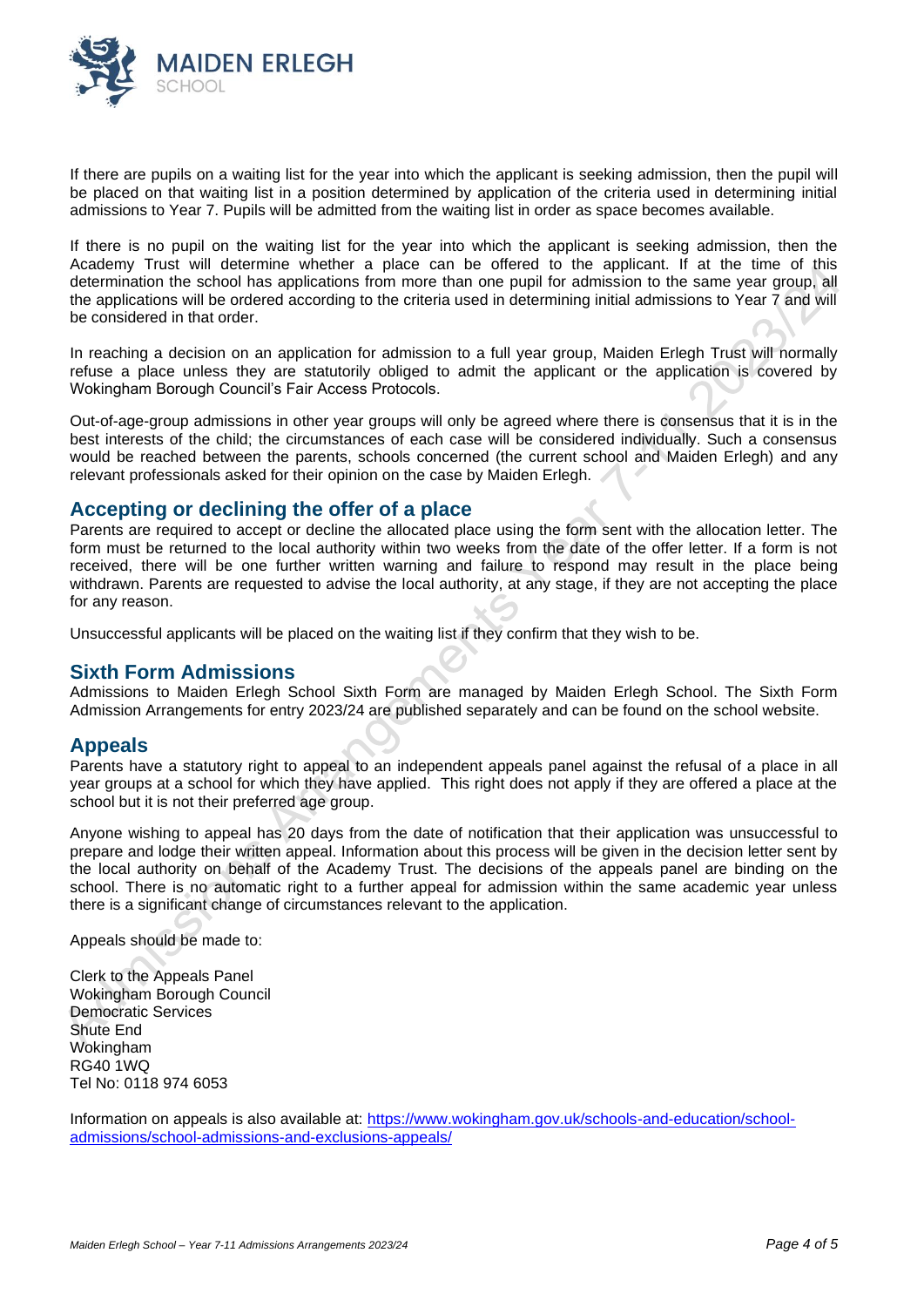

If there are pupils on a waiting list for the year into which the applicant is seeking admission, then the pupil will be placed on that waiting list in a position determined by application of the criteria used in determining initial admissions to Year 7. Pupils will be admitted from the waiting list in order as space becomes available.

If there is no pupil on the waiting list for the year into which the applicant is seeking admission, then the Academy Trust will determine whether a place can be offered to the applicant. If at the time of this determination the school has applications from more than one pupil for admission to the same year group, all the applications will be ordered according to the criteria used in determining initial admissions to Year 7 and will be considered in that order.

In reaching a decision on an application for admission to a full year group, Maiden Erlegh Trust will normally refuse a place unless they are statutorily obliged to admit the applicant or the application is covered by Wokingham Borough Council's Fair Access Protocols.

Out-of-age-group admissions in other year groups will only be agreed where there is consensus that it is in the best interests of the child; the circumstances of each case will be considered individually. Such a consensus would be reached between the parents, schools concerned (the current school and Maiden Erlegh) and any relevant professionals asked for their opinion on the case by Maiden Erlegh.

## **Accepting or declining the offer of a place**

Parents are required to accept or decline the allocated place using the form sent with the allocation letter. The form must be returned to the local authority within two weeks from the date of the offer letter. If a form is not received, there will be one further written warning and failure to respond may result in the place being withdrawn. Parents are requested to advise the local authority, at any stage, if they are not accepting the place for any reason.

Unsuccessful applicants will be placed on the waiting list if they confirm that they wish to be.

#### **Sixth Form Admissions**

Admissions to Maiden Erlegh School Sixth Form are managed by Maiden Erlegh School. The Sixth Form Admission Arrangements for entry 2023/24 are published separately and can be found on the school website.

#### **Appeals**

Parents have a statutory right to appeal to an independent appeals panel against the refusal of a place in all year groups at a school for which they have applied. This right does not apply if they are offered a place at the school but it is not their preferred age group.

Anyone wishing to appeal has 20 days from the date of notification that their application was unsuccessful to prepare and lodge their written appeal. Information about this process will be given in the decision letter sent by the local authority on behalf of the Academy Trust. The decisions of the appeals panel are binding on the school. There is no automatic right to a further appeal for admission within the same academic year unless there is a significant change of circumstances relevant to the application.

Appeals should be made to:

Clerk to the Appeals Panel Wokingham Borough Council Democratic Services Shute End Wokingham RG40 1WQ Tel No: 0118 974 6053

Information on appeals is also available at: [https://www.wokingham.gov.uk/schools-and-education/school](https://www.wokingham.gov.uk/schools-and-education/school-admissions/school-admissions-and-exclusions-appeals/)[admissions/school-admissions-and-exclusions-appeals/](https://www.wokingham.gov.uk/schools-and-education/school-admissions/school-admissions-and-exclusions-appeals/)